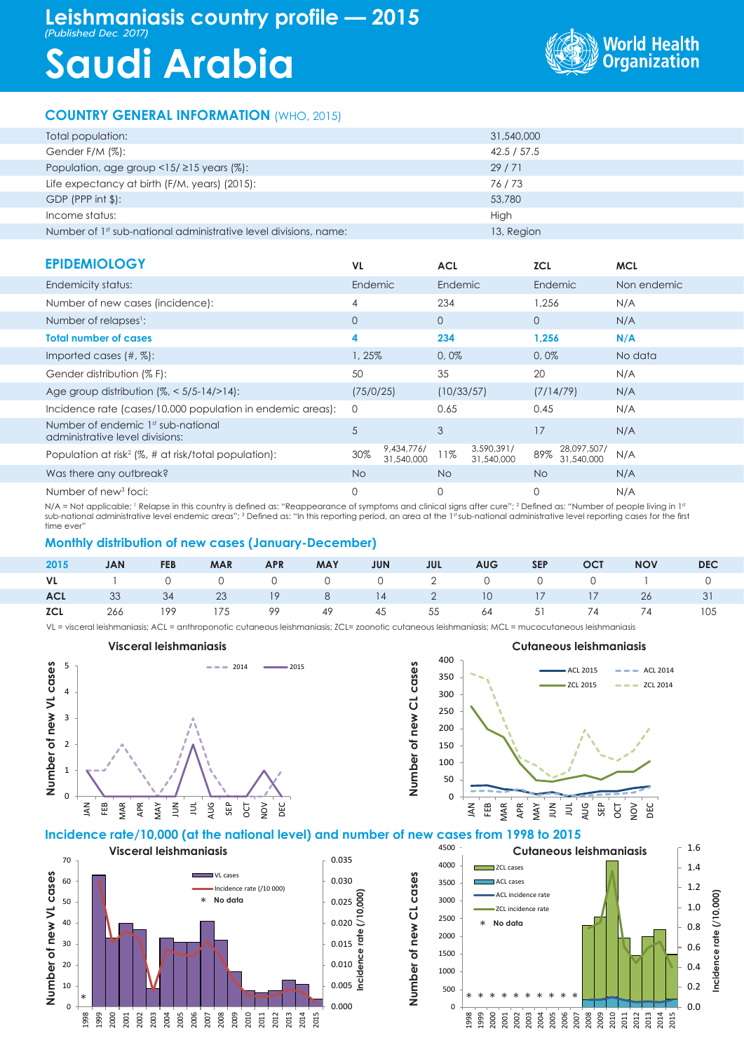# **Leishmaniasis country profile — 2015**

*(Published Dec. 2017)*

# **Saudi Arabia**



## **COUNTRY GENERAL INFORMATION** (WHO, 2015)

| Total population:                                                            | 31,540,000  |
|------------------------------------------------------------------------------|-------------|
| Gender F/M (%):                                                              | 42.5 / 57.5 |
| Population, age group $\langle 15/215 \rangle$ years (%):                    | 29/71       |
| Life expectancy at birth (F/M, years) (2015):                                | 76/73       |
| $GDP$ (PPP int $$$ ):                                                        | 53,780      |
| Income status:                                                               | High        |
| Number of 1 <sup>st</sup> sub-national administrative level divisions, name: | 13, Region  |

| <b>EPIDEMIOLOGY</b>                                                   | VL.          |                          | <b>ACL</b>   |                          | <b>ZCL</b> |                           | <b>MCL</b>  |  |
|-----------------------------------------------------------------------|--------------|--------------------------|--------------|--------------------------|------------|---------------------------|-------------|--|
| Endemicity status:                                                    | Endemic      |                          | Endemic      |                          | Endemic    |                           | Non endemic |  |
| Number of new cases (incidence):                                      | 4            |                          | 234          |                          | 1.256      |                           | N/A         |  |
| Number of relapses <sup>1</sup> :                                     | $\mathbf{0}$ |                          | $\mathbf{0}$ |                          | $\circ$    |                           | N/A         |  |
| <b>Total number of cases</b>                                          | 4            |                          | 234          |                          | 1,256      |                           | N/A         |  |
| Imported cases $(\#,\%)$ :                                            | 1, 25%       |                          | 0,0%         |                          | 0,0%       |                           | No data     |  |
| Gender distribution (% F):                                            | 50           |                          | 35           |                          | 20         |                           | N/A         |  |
| Age group distribution $(\frac{2}{6}$ , < 5/5-14/>14):                | (75/0/25)    |                          | (10/33/57)   |                          | (7/14/79)  |                           | N/A         |  |
| Incidence rate (cases/10,000 population in endemic areas):            | 0            |                          | 0.65         |                          | 0.45       |                           | N/A         |  |
| Number of endemic 1st sub-national<br>administrative level divisions: | 5            |                          | 3            |                          | 17         |                           | N/A         |  |
| Population at risk <sup>2</sup> ( $\%$ , # at risk/total population): | 30%          | 9,434,776/<br>31,540,000 | 11%          | 3,590,391/<br>31,540,000 | 89%        | 28,097,507/<br>31,540,000 | N/A         |  |
| Was there any outbreak?                                               | <b>No</b>    |                          | No.          |                          | No.        |                           | N/A         |  |
| Number of new <sup>3</sup> foci:                                      | 0            |                          | 0            |                          | 0          |                           | N/A         |  |

N/A = Not applicable; 1 Relapse in this country is defined as: "Reappearance of symptoms and clinical signs after cure"; 2 Defined as: "Number of people living in 1st sub-national administrative level endemic areas"; <sup>3</sup> Defined as: "In this reporting period, an area at the 1<sup>st</sup> sub-national administrative level reporting cases for the first time ever

## **Monthly distribution of new cases (January-December)**

| 2015 | <b>JAN</b> | <b>EXAMPLE PER</b> |  |  | MAR APR MAY JUN JUL AUG SEP OCT NOV |  |                                                    | <b>DEC</b> |
|------|------------|--------------------|--|--|-------------------------------------|--|----------------------------------------------------|------------|
|      |            |                    |  |  |                                     |  | VL 1 0 0 0 0 0 0 2 0 0 0 0 1 0                     |            |
|      |            |                    |  |  |                                     |  | ACL 33 34 23 19 8 14 2 10 17 17 26 31              |            |
|      |            |                    |  |  |                                     |  | <b>ICL</b> 266 199 175 99 49 45 55 64 51 74 74 105 |            |

VL = visceral leishmaniasis; ACL = anthroponotic cutaneous leishmaniasis; ZCL= zoonotic cutaneous leishmaniasis; MCL = mucocutaneous leishmaniasis





#### **Incidence rate/10,000 (at the national level) and number of new cases from 1998 to 2015**